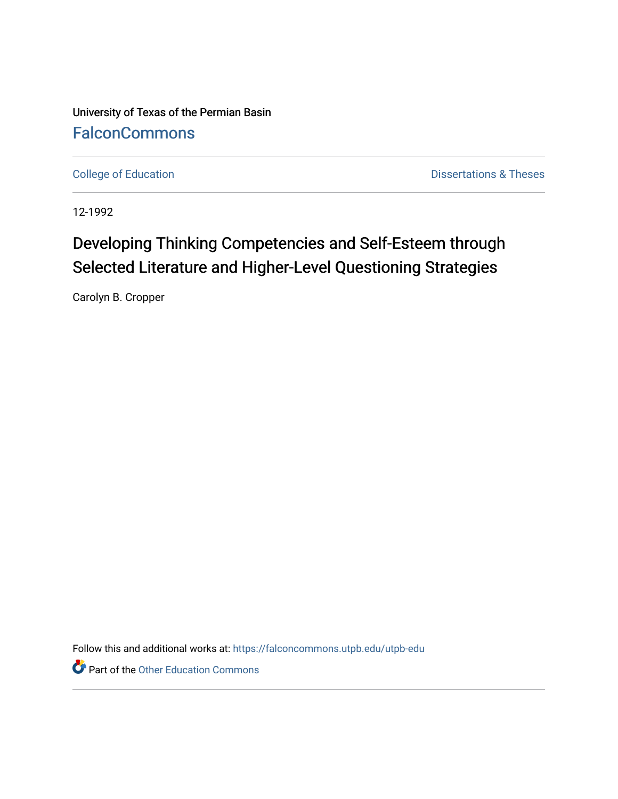University of Texas of the Permian Basin **[FalconCommons](https://falconcommons.utpb.edu/)** 

[College of Education](https://falconcommons.utpb.edu/utpb-edu) **Dissertations & Theses** 

12-1992

## Developing Thinking Competencies and Self-Esteem through Selected Literature and Higher-Level Questioning Strategies

Carolyn B. Cropper

Follow this and additional works at: [https://falconcommons.utpb.edu/utpb-edu](https://falconcommons.utpb.edu/utpb-edu?utm_source=falconcommons.utpb.edu%2Futpb-edu%2F113&utm_medium=PDF&utm_campaign=PDFCoverPages) 

Part of the [Other Education Commons](http://network.bepress.com/hgg/discipline/811?utm_source=falconcommons.utpb.edu%2Futpb-edu%2F113&utm_medium=PDF&utm_campaign=PDFCoverPages)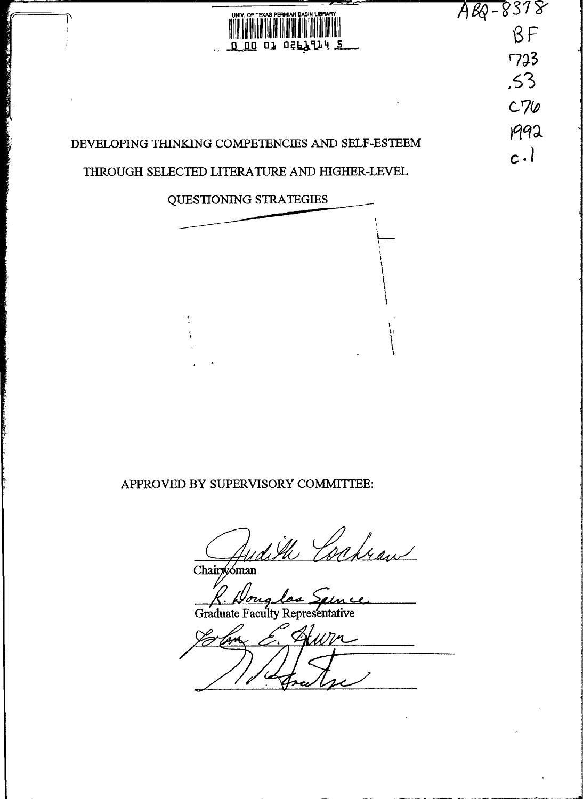

 $c \cdot \mathsf{l}$ 

 $A88 - 8318$ 

 $BF$ 

723

 $.53$ 

 $C70$ 

1992

### DEVELOPING THINKING COMPETENCIES AND SELF-ESTEEM

#### THROUGH SELECTED LITERATURE AND HIGHER-LEVEL

QUESTIONING STRATEGIES

#### APPROVED BY SUPERVISORY COMMITTEE:

Cahran

Chairwoman

Graduate Faculty Representative

Hum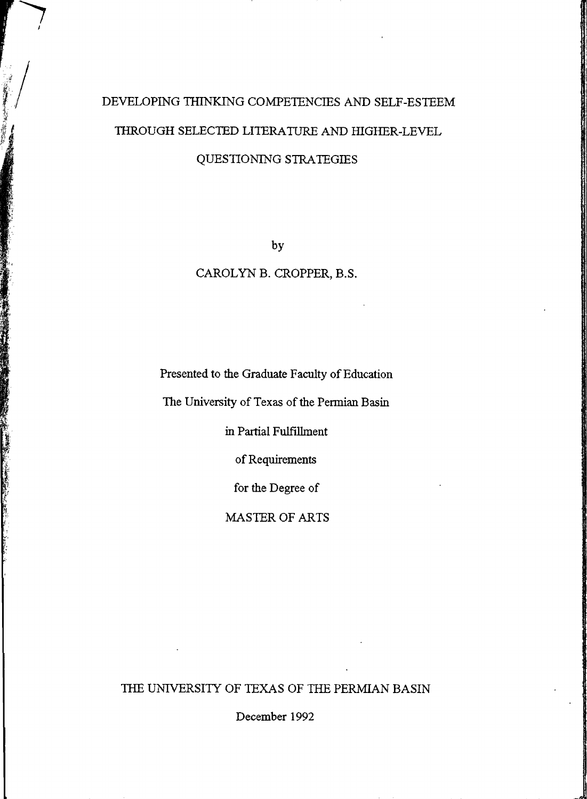# DEVELOPING THINKING COMPETENCIES AND SELF-ESTEEM THROUGH SELECTED LITERATURE AND HIGHER-LEVEL QUESTIONING STRATEGIES

by

#### CAROLYN B. CROPPER, B.S.

Presented to the Graduate Faculty of Education

The University of Texas of the Permian Basin

in Partial Fulfillment

of Requirements

for the Degree of

MASTER OF ARTS

THE UNIVERSITY OF TEXAS OF THE PERMIAN BASIN

December 1992